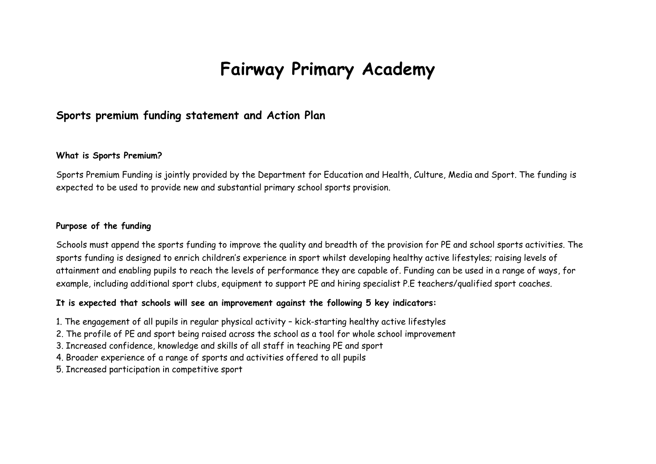# **Fairway Primary Academy**

## **Sports premium funding statement and Action Plan**

### **What is Sports Premium?**

Sports Premium Funding is jointly provided by the Department for Education and Health, Culture, Media and Sport. The funding is expected to be used to provide new and substantial primary school sports provision.

### **Purpose of the funding**

Schools must append the sports funding to improve the quality and breadth of the provision for PE and school sports activities. The sports funding is designed to enrich children's experience in sport whilst developing healthy active lifestyles; raising levels of attainment and enabling pupils to reach the levels of performance they are capable of. Funding can be used in a range of ways, for example, including additional sport clubs, equipment to support PE and hiring specialist P.E teachers/qualified sport coaches.

### **It is expected that schools will see an improvement against the following 5 key indicators:**

- 1. The engagement of all pupils in regular physical activity kick-starting healthy active lifestyles
- 2. The profile of PE and sport being raised across the school as a tool for whole school improvement
- 3. Increased confidence, knowledge and skills of all staff in teaching PE and sport
- 4. Broader experience of a range of sports and activities offered to all pupils
- 5. Increased participation in competitive sport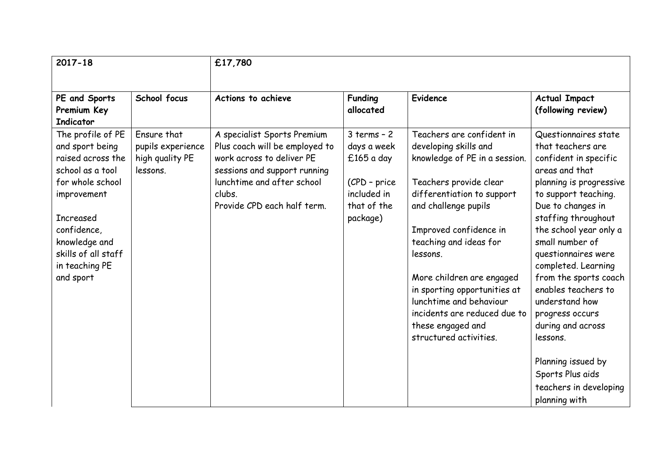| 2017-18                                                                                                                                                                                                                    |                                                                 | £17,780                                                                                                                                                                                           |                                                                                                         |                                                                                                                                                                                                                                                                                                                                                                                                            |                                                                                                                                                                                                                                                                                                                                                                                                                                                                                           |  |
|----------------------------------------------------------------------------------------------------------------------------------------------------------------------------------------------------------------------------|-----------------------------------------------------------------|---------------------------------------------------------------------------------------------------------------------------------------------------------------------------------------------------|---------------------------------------------------------------------------------------------------------|------------------------------------------------------------------------------------------------------------------------------------------------------------------------------------------------------------------------------------------------------------------------------------------------------------------------------------------------------------------------------------------------------------|-------------------------------------------------------------------------------------------------------------------------------------------------------------------------------------------------------------------------------------------------------------------------------------------------------------------------------------------------------------------------------------------------------------------------------------------------------------------------------------------|--|
| PE and Sports<br>Premium Key<br><b>Indicator</b>                                                                                                                                                                           | School focus                                                    | Actions to achieve                                                                                                                                                                                | <b>Funding</b><br>allocated                                                                             | <b>Evidence</b>                                                                                                                                                                                                                                                                                                                                                                                            | <b>Actual Impact</b><br>(following review)                                                                                                                                                                                                                                                                                                                                                                                                                                                |  |
| The profile of PE<br>and sport being<br>raised across the<br>school as a tool<br>for whole school<br>improvement<br><b>Increased</b><br>confidence,<br>knowledge and<br>skills of all staff<br>in teaching PE<br>and sport | Ensure that<br>pupils experience<br>high quality PE<br>lessons. | A specialist Sports Premium<br>Plus coach will be employed to<br>work across to deliver PE<br>sessions and support running<br>lunchtime and after school<br>clubs.<br>Provide CPD each half term. | $3$ terms $-2$<br>days a week<br>$£165$ a day<br>(CPD - price<br>included in<br>that of the<br>package) | Teachers are confident in<br>developing skills and<br>knowledge of PE in a session.<br>Teachers provide clear<br>differentiation to support<br>and challenge pupils<br>Improved confidence in<br>teaching and ideas for<br>lessons.<br>More children are engaged<br>in sporting opportunities at<br>lunchtime and behaviour<br>incidents are reduced due to<br>these engaged and<br>structured activities. | Questionnaires state<br>that teachers are<br>confident in specific<br>areas and that<br>planning is progressive<br>to support teaching.<br>Due to changes in<br>staffing throughout<br>the school year only a<br>small number of<br>questionnaires were<br>completed. Learning<br>from the sports coach<br>enables teachers to<br>understand how<br>progress occurs<br>during and across<br>lessons.<br>Planning issued by<br>Sports Plus aids<br>teachers in developing<br>planning with |  |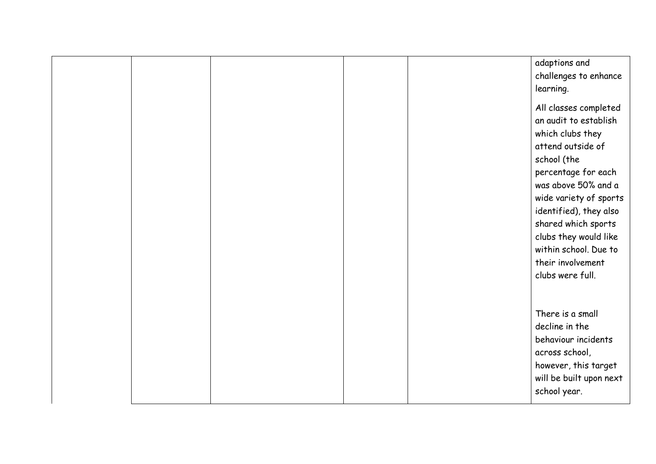|  |  | adaptions and<br>challenges to enhance<br>learning.<br>All classes completed                                                   |
|--|--|--------------------------------------------------------------------------------------------------------------------------------|
|  |  | an audit to establish<br>which clubs they<br>attend outside of<br>school (the                                                  |
|  |  | percentage for each<br>was above 50% and a<br>wide variety of sports<br>identified), they also                                 |
|  |  | shared which sports<br>clubs they would like<br>within school. Due to<br>their involvement<br>clubs were full.                 |
|  |  |                                                                                                                                |
|  |  | There is a small<br>decline in the<br>behaviour incidents<br>across school,<br>however, this target<br>will be built upon next |
|  |  | school year.                                                                                                                   |
|  |  |                                                                                                                                |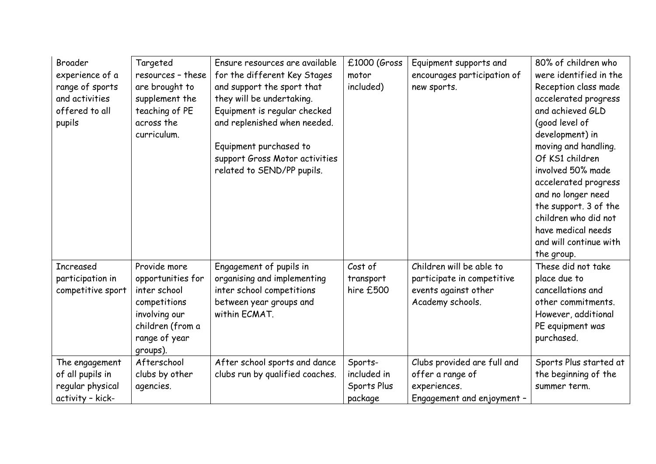| Broader<br>experience of a<br>range of sports<br>and activities<br>offered to all<br>pupils | Targeted<br>resources - these<br>are brought to<br>supplement the<br>teaching of PE<br>across the<br>curriculum.                    | Ensure resources are available<br>for the different Key Stages<br>and support the sport that<br>they will be undertaking.<br>Equipment is regular checked<br>and replenished when needed.<br>Equipment purchased to<br>support Gross Motor activities<br>related to SEND/PP pupils. | £1000 (Gross<br>motor<br>included)               | Equipment supports and<br>encourages participation of<br>new sports.                               | 80% of children who<br>were identified in the<br>Reception class made<br>accelerated progress<br>and achieved GLD<br>(good level of<br>development) in<br>moving and handling.<br>Of KS1 children<br>involved 50% made<br>accelerated progress<br>and no longer need<br>the support. 3 of the<br>children who did not<br>have medical needs<br>and will continue with |
|---------------------------------------------------------------------------------------------|-------------------------------------------------------------------------------------------------------------------------------------|-------------------------------------------------------------------------------------------------------------------------------------------------------------------------------------------------------------------------------------------------------------------------------------|--------------------------------------------------|----------------------------------------------------------------------------------------------------|-----------------------------------------------------------------------------------------------------------------------------------------------------------------------------------------------------------------------------------------------------------------------------------------------------------------------------------------------------------------------|
| <b>Increased</b><br>participation in<br>competitive sport                                   | Provide more<br>opportunities for<br>inter school<br>competitions<br>involving our<br>children (from a<br>range of year<br>groups). | Engagement of pupils in<br>organising and implementing<br>inter school competitions<br>between year groups and<br>within ECMAT.                                                                                                                                                     | Cost of<br>transport<br>hire £500                | Children will be able to<br>participate in competitive<br>events against other<br>Academy schools. | the group.<br>These did not take<br>place due to<br>cancellations and<br>other commitments.<br>However, additional<br>PE equipment was<br>purchased.                                                                                                                                                                                                                  |
| The engagement<br>of all pupils in<br>regular physical<br>activity - kick-                  | Afterschool<br>clubs by other<br>agencies.                                                                                          | After school sports and dance<br>clubs run by qualified coaches.                                                                                                                                                                                                                    | Sports-<br>included in<br>Sports Plus<br>package | Clubs provided are full and<br>offer a range of<br>experiences.<br>Engagement and enjoyment -      | Sports Plus started at<br>the beginning of the<br>summer term.                                                                                                                                                                                                                                                                                                        |